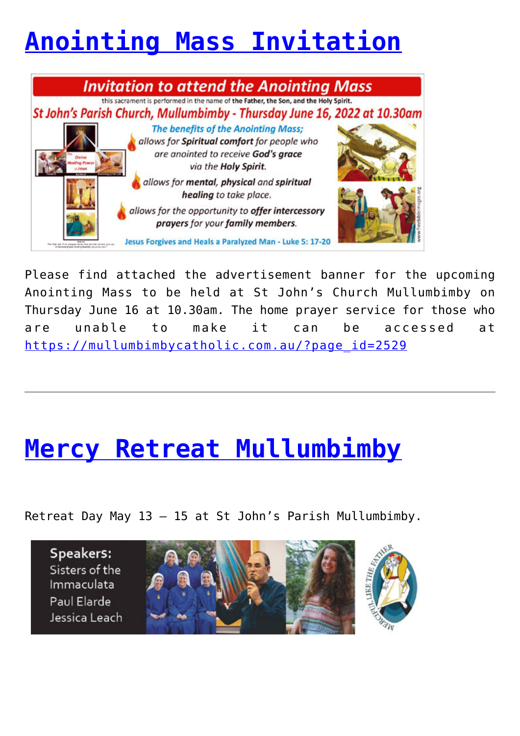# **[Anointing Mass Invitation](https://mullumbimbycatholic.com.au/?p=2729)**



Please find attached the advertisement banner for the upcoming Anointing Mass to be held at St John's Church Mullumbimby on Thursday June 16 at 10.30am. The home prayer service for those who are unable to make it can be accessed at [https://mullumbimbycatholic.com.au/?page\\_id=2529](https://mullumbimbycatholic.com.au/Please find attached the advertisement banner for the upcoming Anointing Mass to be held at St John)

### **[Mercy Retreat Mullumbimby](https://mullumbimbycatholic.com.au/?p=637)**

Retreat Day May 13 – 15 at St John's Parish Mullumbimby.

Speakers: Sisters of the Immaculata Paul Flarde Jessica Leach

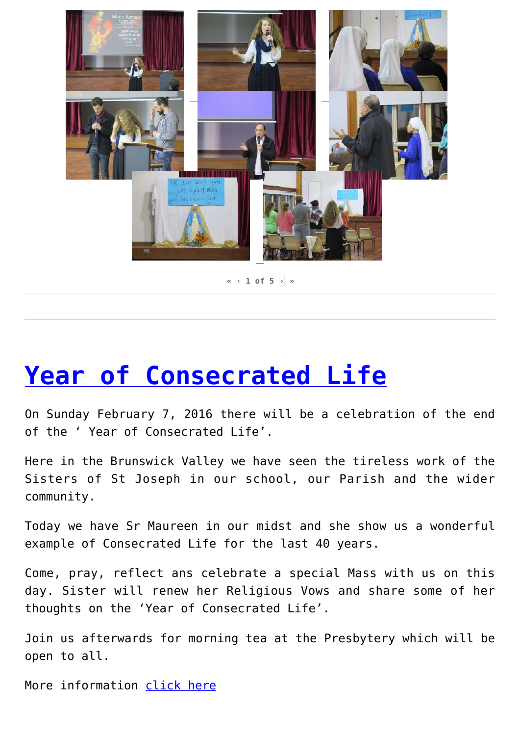

**« ‹ 1 of 5 [›](https://mullumbimbycatholic.com.au/?author=1&print=pdf-search&page_number_0=2) »**

#### **[Year of Consecrated Life](https://mullumbimbycatholic.com.au/?p=487)**

On Sunday February 7, 2016 there will be a celebration of the end of the ' Year of Consecrated Life'.

Here in the Brunswick Valley we have seen the tireless work of the Sisters of St Joseph in our school, our Parish and the wider community.

Today we have Sr Maureen in our midst and she show us a wonderful example of Consecrated Life for the last 40 years.

Come, pray, reflect ans celebrate a special Mass with us on this day. Sister will renew her Religious Vows and share some of her thoughts on the 'Year of Consecrated Life'.

Join us afterwards for morning tea at the Presbytery which will be open to all.

More information [click here](http://mullumbimbycatholic.com.au/?page_id=452)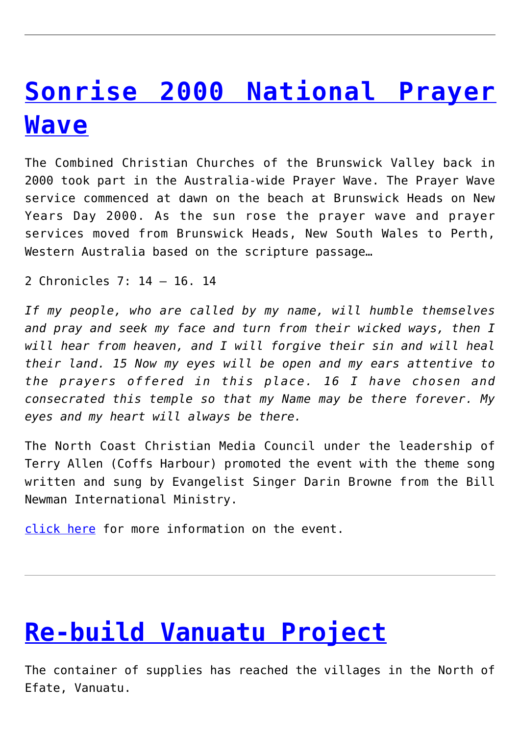### **[Sonrise 2000 National Prayer](https://mullumbimbycatholic.com.au/?p=276) [Wave](https://mullumbimbycatholic.com.au/?p=276)**

The Combined Christian Churches of the Brunswick Valley back in 2000 took part in the Australia-wide Prayer Wave. The Prayer Wave service commenced at dawn on the beach at Brunswick Heads on New Years Day 2000. As the sun rose the prayer wave and prayer services moved from Brunswick Heads, New South Wales to Perth, Western Australia based on the scripture passage…

2 Chronicles 7: 14 – 16. 14

*If my people, who are called by my name, will humble themselves and pray and seek my face and turn from their wicked ways, then I will hear from heaven, and I will forgive their sin and will heal their land. 15 Now my eyes will be open and my ears attentive to the prayers offered in this place. 16 I have chosen and consecrated this temple so that my Name may be there forever. My eyes and my heart will always be there.*

The North Coast Christian Media Council under the leadership of Terry Allen (Coffs Harbour) promoted the event with the theme song written and sung by Evangelist Singer Darin Browne from the Bill Newman International Ministry.

[click here](http://brunswickvalley.com.au/site/?page_id=798) for more information on the event.

## **[Re-build Vanuatu Project](https://mullumbimbycatholic.com.au/?p=266)**

The container of supplies has reached the villages in the North of Efate, Vanuatu.